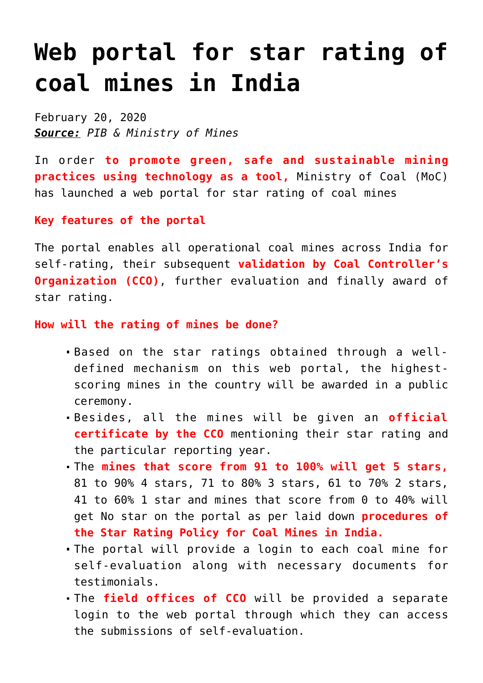# **[Web portal for star rating of](https://journalsofindia.com/web-portal-for-star-rating-of-coal-mines-in-india/) [coal mines in India](https://journalsofindia.com/web-portal-for-star-rating-of-coal-mines-in-india/)**

February 20, 2020 *Source: PIB & Ministry of Mines*

In order **to promote green, safe and sustainable mining practices using technology as a tool,** Ministry of Coal (MoC) has launched a web portal for star rating of coal mines

## **Key features of the portal**

The portal enables all operational coal mines across India for self-rating, their subsequent **validation by Coal Controller's Organization (CCO)**, further evaluation and finally award of star rating.

#### **How will the rating of mines be done?**

- Based on the star ratings obtained through a welldefined mechanism on this web portal, the highestscoring mines in the country will be awarded in a public ceremony.
- Besides, all the mines will be given an **official certificate by the CCO** mentioning their star rating and the particular reporting year.
- The **mines that score from 91 to 100% will get 5 stars,** 81 to 90% 4 stars, 71 to 80% 3 stars, 61 to 70% 2 stars, 41 to 60% 1 star and mines that score from 0 to 40% will get No star on the portal as per laid down **procedures of the Star Rating Policy for Coal Mines in India.**
- The portal will provide a login to each coal mine for self-evaluation along with necessary documents for testimonials.
- The **field offices of CCO** will be provided a separate login to the web portal through which they can access the submissions of self-evaluation.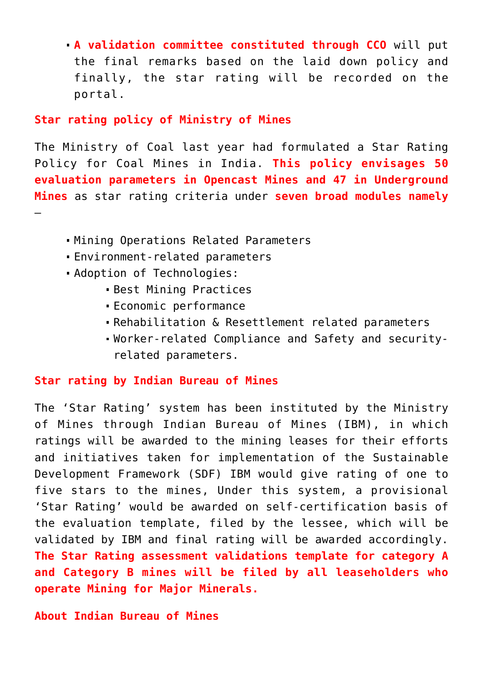**A validation committee constituted through CCO** will put the final remarks based on the laid down policy and finally, the star rating will be recorded on the portal.

## **Star rating policy of Ministry of Mines**

The Ministry of Coal last year had formulated a Star Rating Policy for Coal Mines in India. **This policy envisages 50 evaluation parameters in Opencast Mines and 47 in Underground Mines** as star rating criteria under **seven broad modules namely** –

- Mining Operations Related Parameters
- Environment-related parameters
- Adoption of Technologies:
	- Best Mining Practices
	- Economic performance
	- Rehabilitation & Resettlement related parameters
	- Worker-related Compliance and Safety and securityrelated parameters.

## **Star rating by Indian Bureau of Mines**

The 'Star Rating' system has been instituted by the Ministry of Mines through Indian Bureau of Mines (IBM), in which ratings will be awarded to the mining leases for their efforts and initiatives taken for implementation of the Sustainable Development Framework (SDF) IBM would give rating of one to five stars to the mines, Under this system, a provisional 'Star Rating' would be awarded on self-certification basis of the evaluation template, filed by the lessee, which will be validated by IBM and final rating will be awarded accordingly. **The Star Rating assessment validations template for category A and Category B mines will be filed by all leaseholders who operate Mining for Major Minerals.**

**About Indian Bureau of Mines**